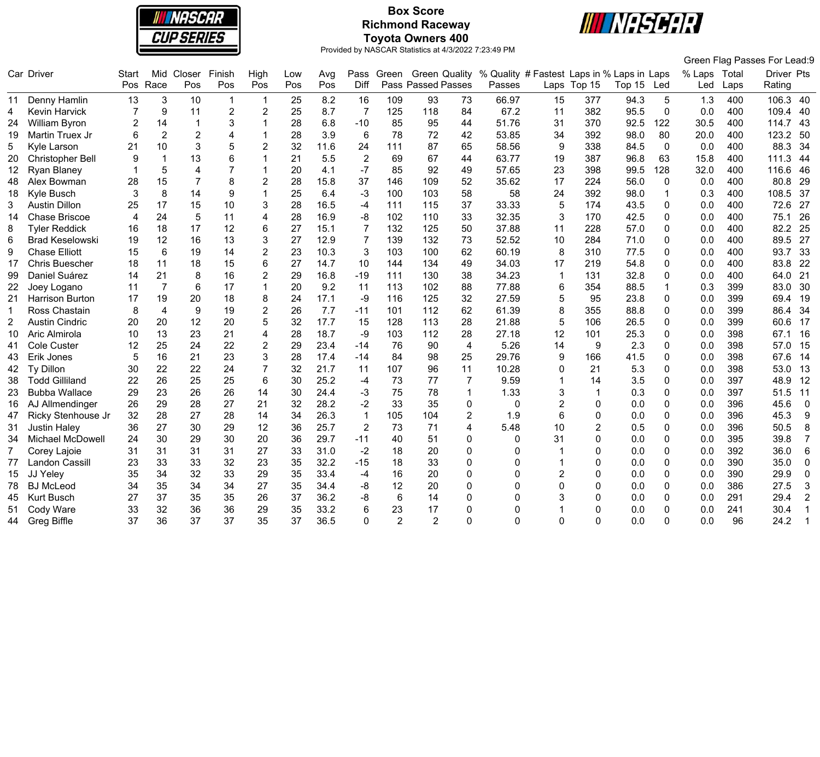

# **Box Score Richmond Raceway Toyota Owners 400**



|              |                        |                |                |                 |                |                |     |      |                |                |                           |                |                                            |                |             |          |              |              |      | Green Flag Passes For Lead:9 |
|--------------|------------------------|----------------|----------------|-----------------|----------------|----------------|-----|------|----------------|----------------|---------------------------|----------------|--------------------------------------------|----------------|-------------|----------|--------------|--------------|------|------------------------------|
|              | Car Driver             | Start          | Mid            | Closer          | Finish         | High           | Low | Avg  | Pass           | Green          | <b>Green Quality</b>      |                | % Quality # Fastest Laps in % Laps in Laps |                |             |          |              | % Laps Total |      | Driver Pts                   |
|              |                        | Pos            | Race           | Pos             | Pos            | Pos            | Pos | Pos  | Diff           |                | <b>Pass Passed Passes</b> |                | Passes                                     |                | Laps Top 15 | Top $15$ | Led          | Led          | Laps | Rating                       |
| 11           | Denny Hamlin           | 13             | 3              | 10              | $\mathbf{1}$   | -1             | 25  | 8.2  | 16             | 109            | 93                        | 73             | 66.97                                      | 15             | 377         | 94.3     | 5            | 1.3          | 400  | 106.3 40                     |
| 4            | <b>Kevin Harvick</b>   | 7              | 9              | 11              | $\overline{2}$ | $\overline{2}$ | 25  | 8.7  | 7              | 125            | 118                       | 84             | 67.2                                       | 11             | 382         | 95.5     | $\mathbf{0}$ | 0.0          | 400  | 109.4<br>40                  |
| 24           | William Byron          | $\overline{2}$ | 14             | $\overline{1}$  | 3              | 1              | 28  | 6.8  | -10            | 85             | 95                        | 44             | 51.76                                      | 31             | 370         | 92.5     | 122          | 30.5         | 400  | 114.7<br>43                  |
| 19           | Martin Truex Jr        | 6              | $\overline{2}$ | $\overline{2}$  | 4              |                | 28  | 3.9  | 6              | 78             | 72                        | 42             | 53.85                                      | 34             | 392         | 98.0     | 80           | 20.0         | 400  | 123.2<br>50                  |
| 5            | Kyle Larson            | 21             | 10             | 3               | 5              | $\overline{2}$ | 32  | 11.6 | 24             | 111            | 87                        | 65             | 58.56                                      | 9              | 338         | 84.5     | $\mathbf 0$  | 0.0          | 400  | 88.3<br>34                   |
| 20           | Christopher Bell       | 9              | -1             | 13              | 6              | -1             | 21  | 5.5  | 2              | 69             | 67                        | 44             | 63.77                                      | 19             | 387         | 96.8     | 63           | 15.8         | 400  | 111<br>.3<br>44              |
| 12           | Ryan Blaney            |                | 5              | $\overline{4}$  |                |                | 20  | 4.1  | $-7$           | 85             | 92                        | 49             | 57.65                                      | 23             | 398         | 99.5     | 128          | 32.0         | 400  | 116.6<br>46                  |
| 48           | Alex Bowman            | 28             | 15             |                 | 8              | $\overline{2}$ | 28  | 15.8 | 37             | 146            | 109                       | 52             | 35.62                                      | 17             | 224         | 56.0     | $\Omega$     | 0.0          | 400  | 29<br>80.8                   |
| 18           | Kyle Busch             | 3              | 8              | 14              | $9\,$          | $\overline{1}$ | 25  | 6.4  | $-3$           | 100            | 103                       | 58             | 58                                         | 24             | 392         | 98.0     | 1            | 0.3          | 400  | 37<br>108.5                  |
| 3            | <b>Austin Dillon</b>   | 25             | 17             | 15              | 10             | 3              | 28  | 16.5 | -4             | 111            | 115                       | 37             | 33.33                                      | 5              | 174         | 43.5     | 0            | 0.0          | 400  | 72.6<br>27                   |
| 14           | <b>Chase Briscoe</b>   | 4              | 24             | 5               | 11             | 4              | 28  | 16.9 | -8             | 102            | 110                       | 33             | 32.35                                      | 3              | 170         | 42.5     | $\Omega$     | 0.0          | 400  | 26<br>75.1                   |
| 8            | <b>Tyler Reddick</b>   | 16             | 18             | 17              | 12             | 6              | 27  | 15.1 | $\overline{7}$ | 132            | 125                       | 50             | 37.88                                      | 11             | 228         | 57.0     | $\Omega$     | 0.0          | 400  | 82.2<br>25                   |
| 6            | <b>Brad Keselowski</b> | 19             | 12             | 16              | 13             | 3              | 27  | 12.9 | $\overline{7}$ | 139            | 132                       | 73             | 52.52                                      | 10             | 284         | 71.0     | $\Omega$     | 0.0          | 400  | 27<br>89.5                   |
| 9            | <b>Chase Elliott</b>   | 15             | 6              | 19              | 14             | $\overline{2}$ | 23  | 10.3 | 3              | 103            | 100                       | 62             | 60.19                                      | 8              | 310         | 77.5     | 0            | 0.0          | 400  | 93.7<br>33                   |
| 17           | <b>Chris Buescher</b>  | 18             | 11             | 18              | 15             | 6              | 27  | 14.7 | 10             | 144            | 134                       | 49             | 34.03                                      | 17             | 219         | 54.8     | 0            | 0.0          | 400  | 83.8<br>22                   |
| 99           | Daniel Suárez          | 14             | 21             | 8               | 16             | $\overline{2}$ | 29  | 16.8 | $-19$          | 111            | 130                       | 38             | 34.23                                      | $\mathbf{1}$   | 131         | 32.8     | 0            | 0.0          | 400  | 64.0<br>21                   |
| 22           | Joey Logano            | 11             | $\overline{7}$ | $6\phantom{1}6$ | 17             | $\overline{1}$ | 20  | 9.2  | 11             | 113            | 102                       | 88             | 77.88                                      | 6              | 354         | 88.5     |              | 0.3          | 399  | 83.0<br>30                   |
| 21           | <b>Harrison Burton</b> | 17             | 19             | 20              | 18             | 8              | 24  | 17.1 | -9             | 116            | 125                       | 32             | 27.59                                      | 5              | 95          | 23.8     | 0            | 0.0          | 399  | 19<br>69.4                   |
| $\mathbf{1}$ | Ross Chastain          | 8              | $\overline{4}$ | 9               | 19             | $\overline{2}$ | 26  | 7.7  | $-11$          | 101            | 112                       | 62             | 61.39                                      | 8              | 355         | 88.8     | $\Omega$     | 0.0          | 399  | 86.4<br>34                   |
| 2            | <b>Austin Cindric</b>  | 20             | 20             | 12              | 20             | 5              | 32  | 17.7 | 15             | 128            | 113                       | 28             | 21.88                                      | 5              | 106         | 26.5     | 0            | 0.0          | 399  | 60.6<br>17                   |
| 10           | Aric Almirola          | 10             | 13             | 23              | 21             | 4              | 28  | 18.7 | -9             | 103            | 112                       | 28             | 27.18                                      | 12             | 101         | 25.3     | 0            | 0.0          | 398  | 16<br>67.1                   |
| 41           | Cole Custer            | 12             | 25             | 24              | 22             | $\overline{2}$ | 29  | 23.4 | -14            | 76             | 90                        | $\overline{4}$ | 5.26                                       | 14             | 9           | 2.3      | 0            | 0.0          | 398  | 15<br>57.0                   |
| 43           | Erik Jones             | 5              | 16             | 21              | 23             | 3              | 28  | 17.4 | $-14$          | 84             | 98                        | 25             | 29.76                                      | 9              | 166         | 41.5     | 0            | 0.0          | 398  | 67.6<br>14                   |
| 42           | Ty Dillon              | 30             | 22             | 22              | 24             | $\overline{7}$ | 32  | 21.7 | 11             | 107            | 96                        | 11             | 10.28                                      | $\mathbf 0$    | 21          | 5.3      | 0            | 0.0          | 398  | 53.0<br>13                   |
| 38           | <b>Todd Gilliland</b>  | 22             | 26             | 25              | 25             | 6              | 30  | 25.2 | -4             | 73             | 77                        | $\overline{7}$ | 9.59                                       | 1              | 14          | 3.5      | $\Omega$     | 0.0          | 397  | 12<br>48.9                   |
| 23           | <b>Bubba Wallace</b>   | 29             | 23             | 26              | 26             | 14             | 30  | 24.4 | -3             | 75             | 78                        | $\overline{1}$ | 1.33                                       | 3              | -1          | 0.3      | $\mathbf{0}$ | 0.0          | 397  | 51.5<br>11                   |
| 16           | AJ Allmendinger        | 26             | 29             | 28              | 27             | 21             | 32  | 28.2 | $-2$           | 33             | 35                        | $\mathbf 0$    | $\Omega$                                   | $\overline{2}$ | 0           | 0.0      | 0            | 0.0          | 396  | 45.6<br>$\mathbf 0$          |
| 47           | Ricky Stenhouse Jr     | 32             | 28             | 27              | 28             | 14             | 34  | 26.3 | $\overline{1}$ | 105            | 104                       | $\overline{2}$ | 1.9                                        | 6              | 0           | 0.0      | 0            | 0.0          | 396  | 45.3<br>9                    |
| 31           | <b>Justin Haley</b>    | 36             | 27             | 30              | 29             | 12             | 36  | 25.7 | $\overline{2}$ | 73             | 71                        | 4              | 5.48                                       | 10             | 2           | 0.5      | 0            | 0.0          | 396  | 50.5<br>8                    |
| 34           | Michael McDowell       | 24             | 30             | 29              | 30             | 20             | 36  | 29.7 | $-11$          | 40             | 51                        | $\mathbf 0$    | 0                                          | 31             | 0           | 0.0      | 0            | 0.0          | 395  | $\overline{7}$<br>39.8       |
| 7            | Corey Lajoie           | 31             | 31             | 31              | 31             | 27             | 33  | 31.0 | $-2$           | 18             | 20                        | $\mathbf 0$    | $\Omega$                                   |                | 0           | 0.0      | 0            | 0.0          | 392  | $\,6$<br>36.0                |
| 77           | Landon Cassill         | 23             | 33             | 33              | 32             | 23             | 35  | 32.2 | $-15$          | 18             | 33                        | $\mathbf 0$    | $\Omega$                                   |                | 0           | 0.0      | 0            | 0.0          | 390  | 35.0<br>$\mathbf 0$          |
| 15           | JJ Yeley               | 35             | 34             | 32              | 33             | 29             | 35  | 33.4 | $-4$           | 16             | 20                        | $\mathbf 0$    | $\Omega$                                   |                | 0           | 0.0      | $\mathbf{0}$ | 0.0          | 390  | 29.9<br>$\mathbf 0$          |
| 78           | <b>BJ</b> McLeod       | 34             | 35             | 34              | 34             | 27             | 35  | 34.4 | -8             | 12             | 20                        | $\Omega$       | $\Omega$                                   | $\Omega$       | 0           | 0.0      | 0            | 0.0          | 386  | 27.5<br>$\mathbf{3}$         |
| 45           | <b>Kurt Busch</b>      | 27             | 37             | 35              | 35             | 26             | 37  | 36.2 | -8             | 6              | 14                        | $\Omega$       | $\Omega$                                   | 3              | 0           | 0.0      | 0            | 0.0          | 291  | $\overline{2}$<br>29.4       |
| 51           | Cody Ware              | 33             | 32             | 36              | 36             | 29             | 35  | 33.2 | 6              | 23             | 17                        | $\Omega$       | $\Omega$                                   | 1              | 0           | 0.0      | 0            | 0.0          | 241  | 30.4<br>$\mathbf{1}$         |
| 44           | <b>Greg Biffle</b>     | 37             | 36             | 37              | 37             | 35             | 37  | 36.5 | 0              | $\overline{2}$ | $\overline{2}$            | $\Omega$       | $\Omega$                                   | $\Omega$       | 0           | 0.0      | 0            | 0.0          | 96   | 24.2                         |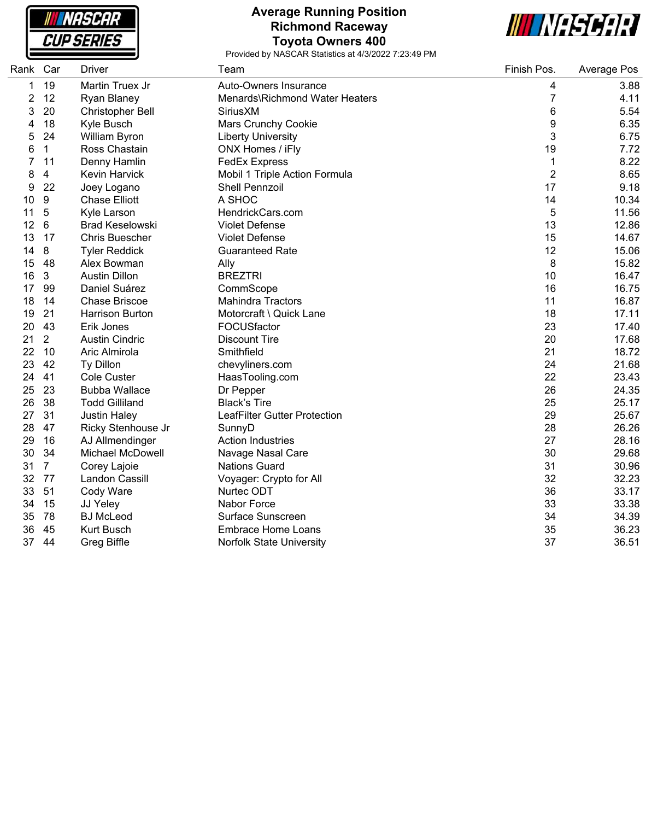| <b>NASCAR</b>     |
|-------------------|
| <i>CUP SERIES</i> |

## **Average Running Position Richmond Raceway Toyota Owners 400**



| Martin Truex Jr<br>1<br>19<br>Auto-Owners Insurance<br>3.88<br>4<br>$\overline{7}$<br>2<br>12<br>4.11<br>Ryan Blaney<br>Menards\Richmond Water Heaters<br>3<br>20<br>6<br>5.54<br>SiriusXM<br>Christopher Bell<br>9<br>18<br>6.35<br>Kyle Busch<br>Mars Crunchy Cookie<br>4<br>3<br>24<br>5<br>6.75<br>William Byron<br><b>Liberty University</b><br>19<br>6<br>$\mathbf{1}$<br>7.72<br>Ross Chastain<br>ONX Homes / iFly<br>7<br>$\mathbf 1$<br>11<br>Denny Hamlin<br>8.22<br><b>FedEx Express</b><br>$\overline{2}$<br>$\overline{4}$<br>8.65<br>8<br>Kevin Harvick<br>Mobil 1 Triple Action Formula<br>22<br>17<br>9<br>Shell Pennzoil<br>9.18<br>Joey Logano<br>9<br>14<br>10<br><b>Chase Elliott</b><br>A SHOC<br>10.34<br>5<br>11<br>$\overline{5}$<br>Kyle Larson<br>HendrickCars.com<br>11.56<br>12<br>$6\phantom{1}6$<br>13<br><b>Brad Keselowski</b><br><b>Violet Defense</b><br>15<br>13<br>17<br><b>Violet Defense</b><br><b>Chris Buescher</b><br>14.67<br>8<br>12<br><b>Guaranteed Rate</b><br>14<br><b>Tyler Reddick</b><br>15.06<br>48<br>8<br>15<br>Alex Bowman<br>15.82<br>Ally<br>16<br>3<br><b>Austin Dillon</b><br><b>BREZTRI</b><br>10<br>16.47<br>99<br>17<br>Daniel Suárez<br>CommScope<br>16<br>16.75<br><b>Mahindra Tractors</b><br>11<br>18<br>14<br><b>Chase Briscoe</b><br>16.87<br>19<br>21<br>Motorcraft \ Quick Lane<br>18<br>17.11<br>Harrison Burton<br>20<br>43<br>FOCUSfactor<br>23<br>Erik Jones<br>17.40<br>21<br>$\overline{2}$<br>20<br><b>Austin Cindric</b><br><b>Discount Tire</b><br>17.68<br>21<br>22<br>10<br>Smithfield<br>18.72<br>Aric Almirola<br>23<br>42<br>24<br>Ty Dillon<br>21.68<br>chevyliners.com<br>22<br>24<br>41<br><b>Cole Custer</b><br>HaasTooling.com<br>23.43<br>25<br>23<br>26<br><b>Bubba Wallace</b><br>24.35<br>Dr Pepper<br>38<br>25<br>26<br><b>Todd Gilliland</b><br>25.17<br><b>Black's Tire</b><br>31<br>29<br>27<br>LeafFilter Gutter Protection<br>25.67<br><b>Justin Haley</b><br>28<br>28<br>47<br>26.26<br>Ricky Stenhouse Jr<br>SunnyD<br>27<br>29<br>16<br>28.16<br>AJ Allmendinger<br><b>Action Industries</b><br>30<br>34<br>30<br><b>Michael McDowell</b><br>29.68<br>Navage Nasal Care<br>31<br>31<br>$\overline{7}$<br>Corey Lajoie<br><b>Nations Guard</b><br>30.96<br>77<br>32<br>32<br>32.23<br>Landon Cassill<br>Voyager: Crypto for All<br>33<br>51<br>36<br>Cody Ware<br>Nurtec ODT<br>33.17<br>33<br>15<br>Nabor Force<br>33.38<br>34<br>JJ Yeley<br>78<br>34<br>35<br><b>BJ</b> McLeod<br>Surface Sunscreen<br>34.39<br>36<br>45<br>35<br><b>Kurt Busch</b><br><b>Embrace Home Loans</b><br>36.23<br>37<br>37<br>44<br><b>Greg Biffle</b><br>36.51<br>Norfolk State University | Rank | Car | <b>Driver</b> | Team | Finish Pos. | Average Pos |
|-------------------------------------------------------------------------------------------------------------------------------------------------------------------------------------------------------------------------------------------------------------------------------------------------------------------------------------------------------------------------------------------------------------------------------------------------------------------------------------------------------------------------------------------------------------------------------------------------------------------------------------------------------------------------------------------------------------------------------------------------------------------------------------------------------------------------------------------------------------------------------------------------------------------------------------------------------------------------------------------------------------------------------------------------------------------------------------------------------------------------------------------------------------------------------------------------------------------------------------------------------------------------------------------------------------------------------------------------------------------------------------------------------------------------------------------------------------------------------------------------------------------------------------------------------------------------------------------------------------------------------------------------------------------------------------------------------------------------------------------------------------------------------------------------------------------------------------------------------------------------------------------------------------------------------------------------------------------------------------------------------------------------------------------------------------------------------------------------------------------------------------------------------------------------------------------------------------------------------------------------------------------------------------------------------------------------------------------------------------------------------------------------------------------------------------------------------------------------------------------------------------------------------------------------------------------------------------------------------------------------------------------------------------------------------|------|-----|---------------|------|-------------|-------------|
|                                                                                                                                                                                                                                                                                                                                                                                                                                                                                                                                                                                                                                                                                                                                                                                                                                                                                                                                                                                                                                                                                                                                                                                                                                                                                                                                                                                                                                                                                                                                                                                                                                                                                                                                                                                                                                                                                                                                                                                                                                                                                                                                                                                                                                                                                                                                                                                                                                                                                                                                                                                                                                                                               |      |     |               |      |             |             |
|                                                                                                                                                                                                                                                                                                                                                                                                                                                                                                                                                                                                                                                                                                                                                                                                                                                                                                                                                                                                                                                                                                                                                                                                                                                                                                                                                                                                                                                                                                                                                                                                                                                                                                                                                                                                                                                                                                                                                                                                                                                                                                                                                                                                                                                                                                                                                                                                                                                                                                                                                                                                                                                                               |      |     |               |      |             |             |
|                                                                                                                                                                                                                                                                                                                                                                                                                                                                                                                                                                                                                                                                                                                                                                                                                                                                                                                                                                                                                                                                                                                                                                                                                                                                                                                                                                                                                                                                                                                                                                                                                                                                                                                                                                                                                                                                                                                                                                                                                                                                                                                                                                                                                                                                                                                                                                                                                                                                                                                                                                                                                                                                               |      |     |               |      |             |             |
|                                                                                                                                                                                                                                                                                                                                                                                                                                                                                                                                                                                                                                                                                                                                                                                                                                                                                                                                                                                                                                                                                                                                                                                                                                                                                                                                                                                                                                                                                                                                                                                                                                                                                                                                                                                                                                                                                                                                                                                                                                                                                                                                                                                                                                                                                                                                                                                                                                                                                                                                                                                                                                                                               |      |     |               |      |             |             |
|                                                                                                                                                                                                                                                                                                                                                                                                                                                                                                                                                                                                                                                                                                                                                                                                                                                                                                                                                                                                                                                                                                                                                                                                                                                                                                                                                                                                                                                                                                                                                                                                                                                                                                                                                                                                                                                                                                                                                                                                                                                                                                                                                                                                                                                                                                                                                                                                                                                                                                                                                                                                                                                                               |      |     |               |      |             |             |
|                                                                                                                                                                                                                                                                                                                                                                                                                                                                                                                                                                                                                                                                                                                                                                                                                                                                                                                                                                                                                                                                                                                                                                                                                                                                                                                                                                                                                                                                                                                                                                                                                                                                                                                                                                                                                                                                                                                                                                                                                                                                                                                                                                                                                                                                                                                                                                                                                                                                                                                                                                                                                                                                               |      |     |               |      |             |             |
|                                                                                                                                                                                                                                                                                                                                                                                                                                                                                                                                                                                                                                                                                                                                                                                                                                                                                                                                                                                                                                                                                                                                                                                                                                                                                                                                                                                                                                                                                                                                                                                                                                                                                                                                                                                                                                                                                                                                                                                                                                                                                                                                                                                                                                                                                                                                                                                                                                                                                                                                                                                                                                                                               |      |     |               |      |             |             |
|                                                                                                                                                                                                                                                                                                                                                                                                                                                                                                                                                                                                                                                                                                                                                                                                                                                                                                                                                                                                                                                                                                                                                                                                                                                                                                                                                                                                                                                                                                                                                                                                                                                                                                                                                                                                                                                                                                                                                                                                                                                                                                                                                                                                                                                                                                                                                                                                                                                                                                                                                                                                                                                                               |      |     |               |      |             |             |
|                                                                                                                                                                                                                                                                                                                                                                                                                                                                                                                                                                                                                                                                                                                                                                                                                                                                                                                                                                                                                                                                                                                                                                                                                                                                                                                                                                                                                                                                                                                                                                                                                                                                                                                                                                                                                                                                                                                                                                                                                                                                                                                                                                                                                                                                                                                                                                                                                                                                                                                                                                                                                                                                               |      |     |               |      |             |             |
|                                                                                                                                                                                                                                                                                                                                                                                                                                                                                                                                                                                                                                                                                                                                                                                                                                                                                                                                                                                                                                                                                                                                                                                                                                                                                                                                                                                                                                                                                                                                                                                                                                                                                                                                                                                                                                                                                                                                                                                                                                                                                                                                                                                                                                                                                                                                                                                                                                                                                                                                                                                                                                                                               |      |     |               |      |             |             |
|                                                                                                                                                                                                                                                                                                                                                                                                                                                                                                                                                                                                                                                                                                                                                                                                                                                                                                                                                                                                                                                                                                                                                                                                                                                                                                                                                                                                                                                                                                                                                                                                                                                                                                                                                                                                                                                                                                                                                                                                                                                                                                                                                                                                                                                                                                                                                                                                                                                                                                                                                                                                                                                                               |      |     |               |      |             |             |
|                                                                                                                                                                                                                                                                                                                                                                                                                                                                                                                                                                                                                                                                                                                                                                                                                                                                                                                                                                                                                                                                                                                                                                                                                                                                                                                                                                                                                                                                                                                                                                                                                                                                                                                                                                                                                                                                                                                                                                                                                                                                                                                                                                                                                                                                                                                                                                                                                                                                                                                                                                                                                                                                               |      |     |               |      |             | 12.86       |
|                                                                                                                                                                                                                                                                                                                                                                                                                                                                                                                                                                                                                                                                                                                                                                                                                                                                                                                                                                                                                                                                                                                                                                                                                                                                                                                                                                                                                                                                                                                                                                                                                                                                                                                                                                                                                                                                                                                                                                                                                                                                                                                                                                                                                                                                                                                                                                                                                                                                                                                                                                                                                                                                               |      |     |               |      |             |             |
|                                                                                                                                                                                                                                                                                                                                                                                                                                                                                                                                                                                                                                                                                                                                                                                                                                                                                                                                                                                                                                                                                                                                                                                                                                                                                                                                                                                                                                                                                                                                                                                                                                                                                                                                                                                                                                                                                                                                                                                                                                                                                                                                                                                                                                                                                                                                                                                                                                                                                                                                                                                                                                                                               |      |     |               |      |             |             |
|                                                                                                                                                                                                                                                                                                                                                                                                                                                                                                                                                                                                                                                                                                                                                                                                                                                                                                                                                                                                                                                                                                                                                                                                                                                                                                                                                                                                                                                                                                                                                                                                                                                                                                                                                                                                                                                                                                                                                                                                                                                                                                                                                                                                                                                                                                                                                                                                                                                                                                                                                                                                                                                                               |      |     |               |      |             |             |
|                                                                                                                                                                                                                                                                                                                                                                                                                                                                                                                                                                                                                                                                                                                                                                                                                                                                                                                                                                                                                                                                                                                                                                                                                                                                                                                                                                                                                                                                                                                                                                                                                                                                                                                                                                                                                                                                                                                                                                                                                                                                                                                                                                                                                                                                                                                                                                                                                                                                                                                                                                                                                                                                               |      |     |               |      |             |             |
|                                                                                                                                                                                                                                                                                                                                                                                                                                                                                                                                                                                                                                                                                                                                                                                                                                                                                                                                                                                                                                                                                                                                                                                                                                                                                                                                                                                                                                                                                                                                                                                                                                                                                                                                                                                                                                                                                                                                                                                                                                                                                                                                                                                                                                                                                                                                                                                                                                                                                                                                                                                                                                                                               |      |     |               |      |             |             |
|                                                                                                                                                                                                                                                                                                                                                                                                                                                                                                                                                                                                                                                                                                                                                                                                                                                                                                                                                                                                                                                                                                                                                                                                                                                                                                                                                                                                                                                                                                                                                                                                                                                                                                                                                                                                                                                                                                                                                                                                                                                                                                                                                                                                                                                                                                                                                                                                                                                                                                                                                                                                                                                                               |      |     |               |      |             |             |
|                                                                                                                                                                                                                                                                                                                                                                                                                                                                                                                                                                                                                                                                                                                                                                                                                                                                                                                                                                                                                                                                                                                                                                                                                                                                                                                                                                                                                                                                                                                                                                                                                                                                                                                                                                                                                                                                                                                                                                                                                                                                                                                                                                                                                                                                                                                                                                                                                                                                                                                                                                                                                                                                               |      |     |               |      |             |             |
|                                                                                                                                                                                                                                                                                                                                                                                                                                                                                                                                                                                                                                                                                                                                                                                                                                                                                                                                                                                                                                                                                                                                                                                                                                                                                                                                                                                                                                                                                                                                                                                                                                                                                                                                                                                                                                                                                                                                                                                                                                                                                                                                                                                                                                                                                                                                                                                                                                                                                                                                                                                                                                                                               |      |     |               |      |             |             |
|                                                                                                                                                                                                                                                                                                                                                                                                                                                                                                                                                                                                                                                                                                                                                                                                                                                                                                                                                                                                                                                                                                                                                                                                                                                                                                                                                                                                                                                                                                                                                                                                                                                                                                                                                                                                                                                                                                                                                                                                                                                                                                                                                                                                                                                                                                                                                                                                                                                                                                                                                                                                                                                                               |      |     |               |      |             |             |
|                                                                                                                                                                                                                                                                                                                                                                                                                                                                                                                                                                                                                                                                                                                                                                                                                                                                                                                                                                                                                                                                                                                                                                                                                                                                                                                                                                                                                                                                                                                                                                                                                                                                                                                                                                                                                                                                                                                                                                                                                                                                                                                                                                                                                                                                                                                                                                                                                                                                                                                                                                                                                                                                               |      |     |               |      |             |             |
|                                                                                                                                                                                                                                                                                                                                                                                                                                                                                                                                                                                                                                                                                                                                                                                                                                                                                                                                                                                                                                                                                                                                                                                                                                                                                                                                                                                                                                                                                                                                                                                                                                                                                                                                                                                                                                                                                                                                                                                                                                                                                                                                                                                                                                                                                                                                                                                                                                                                                                                                                                                                                                                                               |      |     |               |      |             |             |
|                                                                                                                                                                                                                                                                                                                                                                                                                                                                                                                                                                                                                                                                                                                                                                                                                                                                                                                                                                                                                                                                                                                                                                                                                                                                                                                                                                                                                                                                                                                                                                                                                                                                                                                                                                                                                                                                                                                                                                                                                                                                                                                                                                                                                                                                                                                                                                                                                                                                                                                                                                                                                                                                               |      |     |               |      |             |             |
|                                                                                                                                                                                                                                                                                                                                                                                                                                                                                                                                                                                                                                                                                                                                                                                                                                                                                                                                                                                                                                                                                                                                                                                                                                                                                                                                                                                                                                                                                                                                                                                                                                                                                                                                                                                                                                                                                                                                                                                                                                                                                                                                                                                                                                                                                                                                                                                                                                                                                                                                                                                                                                                                               |      |     |               |      |             |             |
|                                                                                                                                                                                                                                                                                                                                                                                                                                                                                                                                                                                                                                                                                                                                                                                                                                                                                                                                                                                                                                                                                                                                                                                                                                                                                                                                                                                                                                                                                                                                                                                                                                                                                                                                                                                                                                                                                                                                                                                                                                                                                                                                                                                                                                                                                                                                                                                                                                                                                                                                                                                                                                                                               |      |     |               |      |             |             |
|                                                                                                                                                                                                                                                                                                                                                                                                                                                                                                                                                                                                                                                                                                                                                                                                                                                                                                                                                                                                                                                                                                                                                                                                                                                                                                                                                                                                                                                                                                                                                                                                                                                                                                                                                                                                                                                                                                                                                                                                                                                                                                                                                                                                                                                                                                                                                                                                                                                                                                                                                                                                                                                                               |      |     |               |      |             |             |
|                                                                                                                                                                                                                                                                                                                                                                                                                                                                                                                                                                                                                                                                                                                                                                                                                                                                                                                                                                                                                                                                                                                                                                                                                                                                                                                                                                                                                                                                                                                                                                                                                                                                                                                                                                                                                                                                                                                                                                                                                                                                                                                                                                                                                                                                                                                                                                                                                                                                                                                                                                                                                                                                               |      |     |               |      |             |             |
|                                                                                                                                                                                                                                                                                                                                                                                                                                                                                                                                                                                                                                                                                                                                                                                                                                                                                                                                                                                                                                                                                                                                                                                                                                                                                                                                                                                                                                                                                                                                                                                                                                                                                                                                                                                                                                                                                                                                                                                                                                                                                                                                                                                                                                                                                                                                                                                                                                                                                                                                                                                                                                                                               |      |     |               |      |             |             |
|                                                                                                                                                                                                                                                                                                                                                                                                                                                                                                                                                                                                                                                                                                                                                                                                                                                                                                                                                                                                                                                                                                                                                                                                                                                                                                                                                                                                                                                                                                                                                                                                                                                                                                                                                                                                                                                                                                                                                                                                                                                                                                                                                                                                                                                                                                                                                                                                                                                                                                                                                                                                                                                                               |      |     |               |      |             |             |
|                                                                                                                                                                                                                                                                                                                                                                                                                                                                                                                                                                                                                                                                                                                                                                                                                                                                                                                                                                                                                                                                                                                                                                                                                                                                                                                                                                                                                                                                                                                                                                                                                                                                                                                                                                                                                                                                                                                                                                                                                                                                                                                                                                                                                                                                                                                                                                                                                                                                                                                                                                                                                                                                               |      |     |               |      |             |             |
|                                                                                                                                                                                                                                                                                                                                                                                                                                                                                                                                                                                                                                                                                                                                                                                                                                                                                                                                                                                                                                                                                                                                                                                                                                                                                                                                                                                                                                                                                                                                                                                                                                                                                                                                                                                                                                                                                                                                                                                                                                                                                                                                                                                                                                                                                                                                                                                                                                                                                                                                                                                                                                                                               |      |     |               |      |             |             |
|                                                                                                                                                                                                                                                                                                                                                                                                                                                                                                                                                                                                                                                                                                                                                                                                                                                                                                                                                                                                                                                                                                                                                                                                                                                                                                                                                                                                                                                                                                                                                                                                                                                                                                                                                                                                                                                                                                                                                                                                                                                                                                                                                                                                                                                                                                                                                                                                                                                                                                                                                                                                                                                                               |      |     |               |      |             |             |
|                                                                                                                                                                                                                                                                                                                                                                                                                                                                                                                                                                                                                                                                                                                                                                                                                                                                                                                                                                                                                                                                                                                                                                                                                                                                                                                                                                                                                                                                                                                                                                                                                                                                                                                                                                                                                                                                                                                                                                                                                                                                                                                                                                                                                                                                                                                                                                                                                                                                                                                                                                                                                                                                               |      |     |               |      |             |             |
|                                                                                                                                                                                                                                                                                                                                                                                                                                                                                                                                                                                                                                                                                                                                                                                                                                                                                                                                                                                                                                                                                                                                                                                                                                                                                                                                                                                                                                                                                                                                                                                                                                                                                                                                                                                                                                                                                                                                                                                                                                                                                                                                                                                                                                                                                                                                                                                                                                                                                                                                                                                                                                                                               |      |     |               |      |             |             |
|                                                                                                                                                                                                                                                                                                                                                                                                                                                                                                                                                                                                                                                                                                                                                                                                                                                                                                                                                                                                                                                                                                                                                                                                                                                                                                                                                                                                                                                                                                                                                                                                                                                                                                                                                                                                                                                                                                                                                                                                                                                                                                                                                                                                                                                                                                                                                                                                                                                                                                                                                                                                                                                                               |      |     |               |      |             |             |
|                                                                                                                                                                                                                                                                                                                                                                                                                                                                                                                                                                                                                                                                                                                                                                                                                                                                                                                                                                                                                                                                                                                                                                                                                                                                                                                                                                                                                                                                                                                                                                                                                                                                                                                                                                                                                                                                                                                                                                                                                                                                                                                                                                                                                                                                                                                                                                                                                                                                                                                                                                                                                                                                               |      |     |               |      |             |             |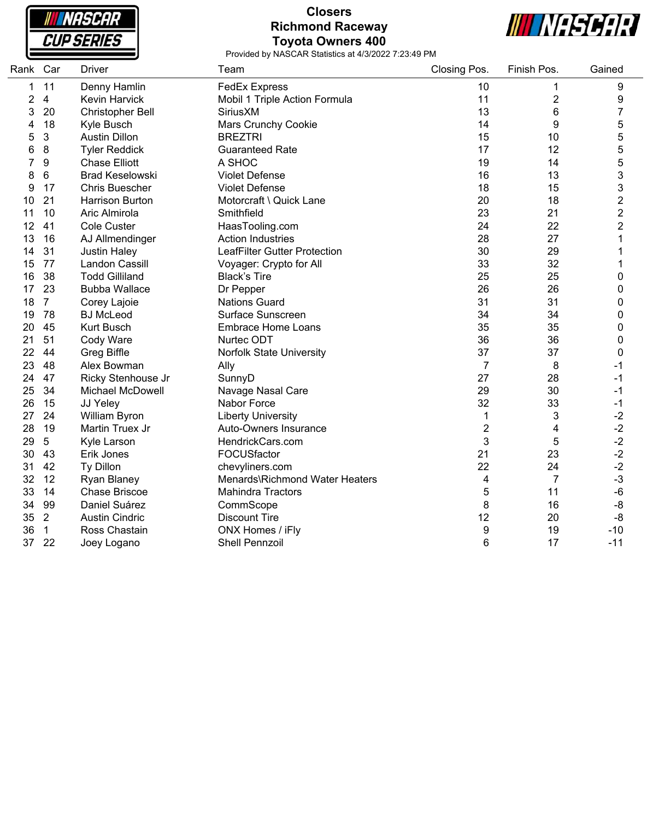

## **Closers Richmond Raceway Toyota Owners 400**



| Rank Car |                | <b>Driver</b>          | Team                                | Closing Pos.   | Finish Pos.             | Gained           |
|----------|----------------|------------------------|-------------------------------------|----------------|-------------------------|------------------|
| 1        | 11             | Denny Hamlin           | <b>FedEx Express</b>                | 10             | 1                       | 9                |
| 2        | $\overline{4}$ | Kevin Harvick          | Mobil 1 Triple Action Formula       | 11             | $\overline{\mathbf{c}}$ | 9                |
| 3        | 20             | Christopher Bell       | SiriusXM                            | 13             | 6                       | 7                |
| 4        | 18             | Kyle Busch             | Mars Crunchy Cookie                 | 14             | 9                       | 5                |
| 5        | 3              | <b>Austin Dillon</b>   | <b>BREZTRI</b>                      | 15             | 10                      | 5                |
| 6        | 8              | <b>Tyler Reddick</b>   | <b>Guaranteed Rate</b>              | 17             | 12                      | 5                |
| 7        | 9              | <b>Chase Elliott</b>   | A SHOC                              | 19             | 14                      | 5                |
| 8        | $\,6\,$        | <b>Brad Keselowski</b> | <b>Violet Defense</b>               | 16             | 13                      | 3                |
| 9        | 17             | <b>Chris Buescher</b>  | <b>Violet Defense</b>               | 18             | 15                      | 3                |
| 10       | 21             | <b>Harrison Burton</b> | Motorcraft \ Quick Lane             | 20             | 18                      | $\overline{c}$   |
| 11       | 10             | Aric Almirola          | Smithfield                          | 23             | 21                      | $\overline{2}$   |
| 12       | 41             | Cole Custer            | HaasTooling.com                     | 24             | 22                      | $\overline{2}$   |
| 13       | 16             | AJ Allmendinger        | <b>Action Industries</b>            | 28             | 27                      | 1                |
| 14       | 31             | <b>Justin Haley</b>    | <b>LeafFilter Gutter Protection</b> | 30             | 29                      | 1                |
| 15       | 77             | Landon Cassill         | Voyager: Crypto for All             | 33             | 32                      | 1                |
| 16       | 38             | <b>Todd Gilliland</b>  | <b>Black's Tire</b>                 | 25             | 25                      | 0                |
| 17       | 23             | <b>Bubba Wallace</b>   | Dr Pepper                           | 26             | 26                      | 0                |
| 18       | $\overline{7}$ | Corey Lajoie           | <b>Nations Guard</b>                | 31             | 31                      | $\boldsymbol{0}$ |
| 19       | 78             | <b>BJ</b> McLeod       | Surface Sunscreen                   | 34             | 34                      | $\mathbf 0$      |
| 20       | 45             | <b>Kurt Busch</b>      | <b>Embrace Home Loans</b>           | 35             | 35                      | $\mathbf 0$      |
| 21       | 51             | Cody Ware              | Nurtec ODT                          | 36             | 36                      | $\mathbf 0$      |
| 22       | 44             | <b>Greg Biffle</b>     | <b>Norfolk State University</b>     | 37             | 37                      | $\mathbf 0$      |
| 23       | 48             | Alex Bowman            | Ally                                | $\overline{7}$ | 8                       | -1               |
| 24       | 47             | Ricky Stenhouse Jr     | SunnyD                              | 27             | 28                      | $-1$             |
| 25       | 34             | Michael McDowell       | Navage Nasal Care                   | 29             | 30                      | $-1$             |
| 26       | 15             | JJ Yeley               | Nabor Force                         | 32             | 33                      | $-1$             |
| 27       | 24             | William Byron          | <b>Liberty University</b>           | 1              | 3                       | $-2$             |
| 28       | 19             | Martin Truex Jr        | Auto-Owners Insurance               | $\overline{2}$ | 4                       | $-2$             |
| 29       | 5              | Kyle Larson            | HendrickCars.com                    | 3              | 5                       | $-2$             |
| 30       | 43             | Erik Jones             | FOCUSfactor                         | 21             | 23                      | $-2$             |
| 31       | 42             | Ty Dillon              | chevyliners.com                     | 22             | 24                      | $-2$             |
| 32       | 12             | Ryan Blaney            | Menards\Richmond Water Heaters      | 4              | $\overline{7}$          | $-3$             |
| 33       | 14             | <b>Chase Briscoe</b>   | <b>Mahindra Tractors</b>            | 5              | 11                      | $-6$             |
| 34       | 99             | Daniel Suárez          | CommScope                           | 8              | 16                      | -8               |
| 35       | $\overline{2}$ | <b>Austin Cindric</b>  | <b>Discount Tire</b>                | 12             | 20                      | $-8$             |
| 36       | $\mathbf{1}$   | Ross Chastain          | ONX Homes / iFly                    | 9              | 19                      | $-10$            |
| 37       | 22             | Joey Logano            | <b>Shell Pennzoil</b>               | 6              | 17                      | $-11$            |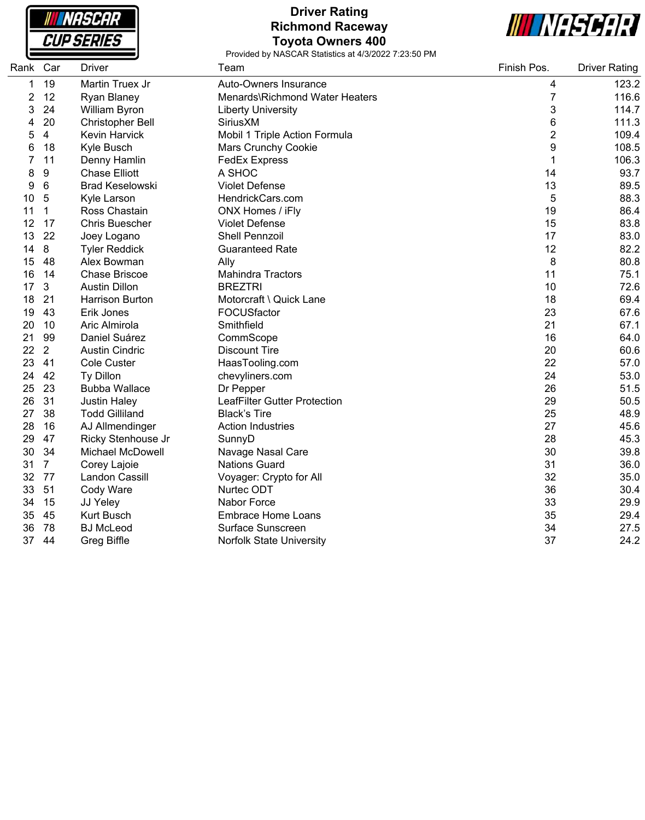

## **Driver Rating Richmond Raceway Toyota Owners 400**



| Rank | Car             | <b>Driver</b>           | Team                           | Finish Pos.    | <b>Driver Rating</b> |
|------|-----------------|-------------------------|--------------------------------|----------------|----------------------|
| 1    | 19              | Martin Truex Jr         | Auto-Owners Insurance          | 4              | 123.2                |
| 2    | 12              | <b>Ryan Blaney</b>      | Menards\Richmond Water Heaters | 7              | 116.6                |
| 3    | 24              | William Byron           | <b>Liberty University</b>      | 3              | 114.7                |
| 4    | 20              | <b>Christopher Bell</b> | SiriusXM                       | 6              | 111.3                |
| 5    | $\overline{4}$  | <b>Kevin Harvick</b>    | Mobil 1 Triple Action Formula  | $\overline{2}$ | 109.4                |
| 6    | 18              | Kyle Busch              | <b>Mars Crunchy Cookie</b>     | 9              | 108.5                |
|      | 11              | Denny Hamlin            | <b>FedEx Express</b>           | 1              | 106.3                |
| 8    | 9               | <b>Chase Elliott</b>    | A SHOC                         | 14             | 93.7                 |
| 9    | $6\phantom{1}6$ | <b>Brad Keselowski</b>  | <b>Violet Defense</b>          | 13             | 89.5                 |
| 10   | $\sqrt{5}$      | Kyle Larson             | HendrickCars.com               | 5              | 88.3                 |
| 11   | $\mathbf 1$     | Ross Chastain           | ONX Homes / iFly               | 19             | 86.4                 |
| 12   | 17              | Chris Buescher          | <b>Violet Defense</b>          | 15             | 83.8                 |
| 13   | 22              | Joey Logano             | <b>Shell Pennzoil</b>          | 17             | 83.0                 |
| 14   | 8               | <b>Tyler Reddick</b>    | <b>Guaranteed Rate</b>         | 12             | 82.2                 |
| 15   | 48              | Alex Bowman             | Ally                           | 8              | 80.8                 |
| 16   | 14              | <b>Chase Briscoe</b>    | <b>Mahindra Tractors</b>       | 11             | 75.1                 |
| 17   | 3               | <b>Austin Dillon</b>    | <b>BREZTRI</b>                 | 10             | 72.6                 |
| 18   | 21              | <b>Harrison Burton</b>  | Motorcraft \ Quick Lane        | 18             | 69.4                 |
| 19   | 43              | Erik Jones              | FOCUSfactor                    | 23             | 67.6                 |
| 20   | 10              | Aric Almirola           | Smithfield                     | 21             | 67.1                 |
| 21   | 99              | Daniel Suárez           | CommScope                      | 16             | 64.0                 |
| 22   | $\overline{2}$  | <b>Austin Cindric</b>   | <b>Discount Tire</b>           | 20             | 60.6                 |
| 23   | 41              | <b>Cole Custer</b>      | HaasTooling.com                | 22             | 57.0                 |
| 24   | 42              | Ty Dillon               | chevyliners.com                | 24             | 53.0                 |
| 25   | 23              | <b>Bubba Wallace</b>    | Dr Pepper                      | 26             | 51.5                 |
| 26   | 31              | <b>Justin Haley</b>     | LeafFilter Gutter Protection   | 29             | 50.5                 |
| 27   | 38              | <b>Todd Gilliland</b>   | <b>Black's Tire</b>            | 25             | 48.9                 |
| 28   | 16              | AJ Allmendinger         | <b>Action Industries</b>       | 27             | 45.6                 |
| 29   | 47              | Ricky Stenhouse Jr      | SunnyD                         | 28             | 45.3                 |
| 30   | 34              | <b>Michael McDowell</b> | Navage Nasal Care              | 30             | 39.8                 |
| 31   | $\overline{7}$  | Corey Lajoie            | <b>Nations Guard</b>           | 31             | 36.0                 |
| 32   | 77              | Landon Cassill          | Voyager: Crypto for All        | 32             | 35.0                 |
| 33   | 51              | Cody Ware               | Nurtec ODT                     | 36             | 30.4                 |
| 34   | 15              | JJ Yeley                | Nabor Force                    | 33             | 29.9                 |
| 35   | 45              | <b>Kurt Busch</b>       | <b>Embrace Home Loans</b>      | 35             | 29.4                 |
| 36   | 78              | <b>BJ</b> McLeod        | Surface Sunscreen              | 34             | 27.5                 |
| 37   | 44              | <b>Greg Biffle</b>      | Norfolk State University       | 37             | 24.2                 |
|      |                 |                         |                                |                |                      |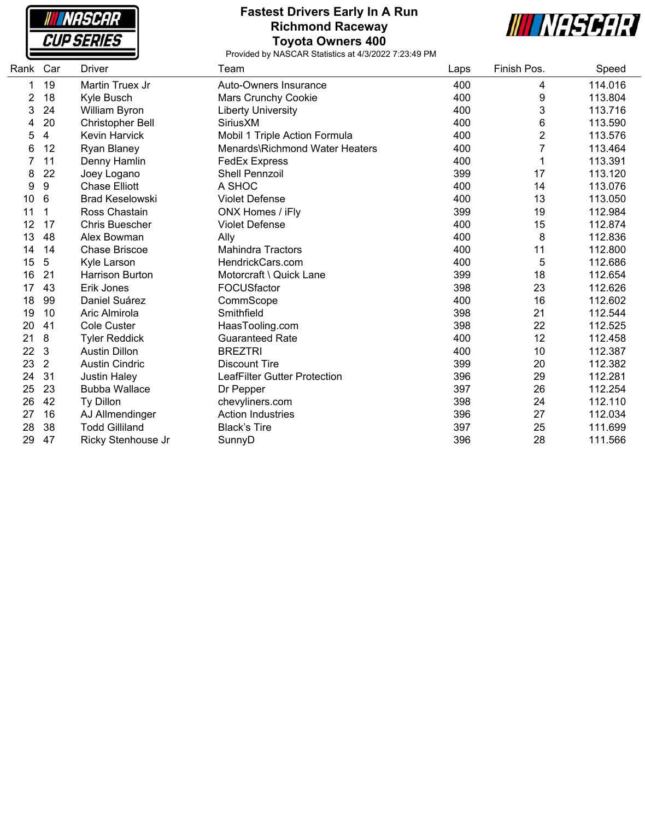**INASCAR CUP SERIES** 

# **Fastest Drivers Early In A Run Richmond Raceway Toyota Owners 400**



| Rank | Car            | <b>Driver</b>           | Team                           | Laps | Finish Pos.    | Speed   |
|------|----------------|-------------------------|--------------------------------|------|----------------|---------|
| 1    | 19             | Martin Truex Jr         | <b>Auto-Owners Insurance</b>   | 400  | 4              | 114.016 |
| 2    | 18             | Kyle Busch              | <b>Mars Crunchy Cookie</b>     | 400  | 9              | 113.804 |
| 3    | 24             | William Byron           | <b>Liberty University</b>      | 400  | 3              | 113.716 |
| 4    | 20             | <b>Christopher Bell</b> | <b>Sirius XM</b>               | 400  | 6              | 113.590 |
| 5    | 4              | <b>Kevin Harvick</b>    | Mobil 1 Triple Action Formula  | 400  | $\overline{2}$ | 113.576 |
| 6    | 12             | <b>Ryan Blaney</b>      | Menards\Richmond Water Heaters | 400  |                | 113.464 |
| 7    | 11             | Denny Hamlin            | <b>FedEx Express</b>           | 400  | 1              | 113.391 |
| 8    | 22             | Joey Logano             | <b>Shell Pennzoil</b>          | 399  | 17             | 113.120 |
| 9    | 9              | <b>Chase Elliott</b>    | A SHOC                         | 400  | 14             | 113.076 |
| 10   | $\,6$          | <b>Brad Keselowski</b>  | <b>Violet Defense</b>          | 400  | 13             | 113.050 |
| 11   | 1              | Ross Chastain           | ONX Homes / iFly               | 399  | 19             | 112.984 |
| 12   | 17             | <b>Chris Buescher</b>   | <b>Violet Defense</b>          | 400  | 15             | 112.874 |
| 13   | 48             | Alex Bowman             | Ally                           | 400  | 8              | 112.836 |
| 14   | 14             | <b>Chase Briscoe</b>    | <b>Mahindra Tractors</b>       | 400  | 11             | 112.800 |
| 15   | $\sqrt{5}$     | Kyle Larson             | HendrickCars.com               | 400  | 5              | 112.686 |
| 16   | 21             | <b>Harrison Burton</b>  | Motorcraft \ Quick Lane        | 399  | 18             | 112.654 |
| 17   | 43             | Erik Jones              | FOCUSfactor                    | 398  | 23             | 112.626 |
| 18   | 99             | Daniel Suárez           | CommScope                      | 400  | 16             | 112.602 |
| 19   | 10             | Aric Almirola           | Smithfield                     | 398  | 21             | 112.544 |
| 20   | 41             | <b>Cole Custer</b>      | HaasTooling.com                | 398  | 22             | 112.525 |
| 21   | 8              | <b>Tyler Reddick</b>    | <b>Guaranteed Rate</b>         | 400  | 12             | 112.458 |
| 22   | 3              | <b>Austin Dillon</b>    | <b>BREZTRI</b>                 | 400  | 10             | 112.387 |
| 23   | $\overline{2}$ | <b>Austin Cindric</b>   | <b>Discount Tire</b>           | 399  | 20             | 112.382 |
| 24   | 31             | <b>Justin Haley</b>     | LeafFilter Gutter Protection   | 396  | 29             | 112.281 |
| 25   | 23             | <b>Bubba Wallace</b>    | Dr Pepper                      | 397  | 26             | 112.254 |
| 26   | 42             | Ty Dillon               | chevyliners.com                | 398  | 24             | 112.110 |
| 27   | 16             | AJ Allmendinger         | <b>Action Industries</b>       | 396  | 27             | 112.034 |
| 28   | 38             | <b>Todd Gilliland</b>   | <b>Black's Tire</b>            | 397  | 25             | 111.699 |
| 29   | 47             | Ricky Stenhouse Jr      | SunnyD                         | 396  | 28             | 111.566 |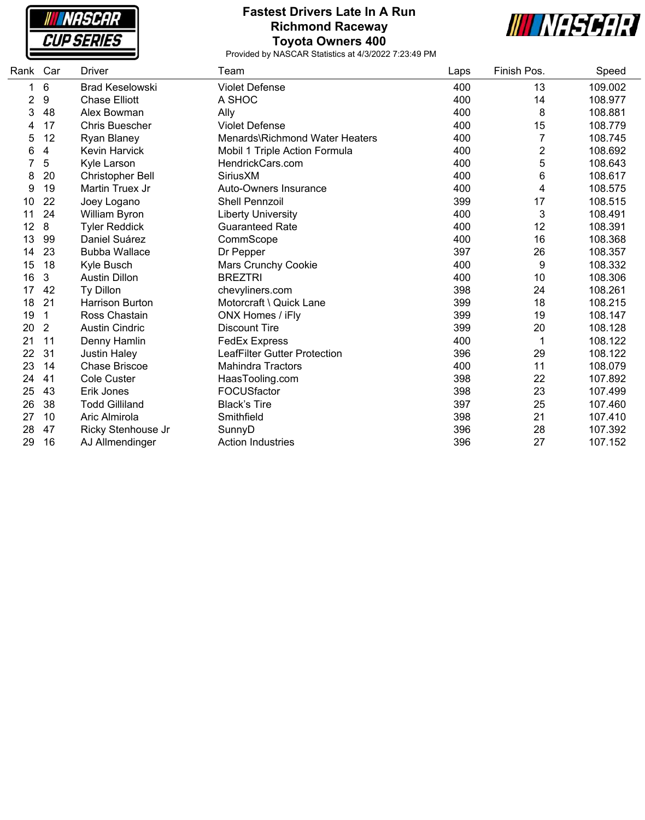

## **Fastest Drivers Late In A Run Richmond Raceway Toyota Owners 400**



| Rank | Car            | Driver                 | Team                                | Laps | Finish Pos. | Speed   |
|------|----------------|------------------------|-------------------------------------|------|-------------|---------|
| 1    | 6              | <b>Brad Keselowski</b> | <b>Violet Defense</b>               | 400  | 13          | 109.002 |
| 2    | 9              | <b>Chase Elliott</b>   | A SHOC                              | 400  | 14          | 108.977 |
| 3    | 48             | Alex Bowman            | Ally                                | 400  | 8           | 108.881 |
| 4    | 17             | <b>Chris Buescher</b>  | <b>Violet Defense</b>               | 400  | 15          | 108.779 |
| 5    | 12             | Ryan Blaney            | Menards\Richmond Water Heaters      | 400  | 7           | 108.745 |
| 6    | 4              | <b>Kevin Harvick</b>   | Mobil 1 Triple Action Formula       | 400  | 2           | 108.692 |
|      | 5              | Kyle Larson            | HendrickCars.com                    | 400  | 5           | 108.643 |
| 8    | 20             | Christopher Bell       | <b>Sirius XM</b>                    | 400  | 6           | 108.617 |
| 9    | 19             | Martin Truex Jr        | Auto-Owners Insurance               | 400  | 4           | 108.575 |
| 10   | 22             | Joey Logano            | <b>Shell Pennzoil</b>               | 399  | 17          | 108.515 |
| 11   | 24             | William Byron          | <b>Liberty University</b>           | 400  | 3           | 108.491 |
| 12   | 8              | <b>Tyler Reddick</b>   | <b>Guaranteed Rate</b>              | 400  | 12          | 108.391 |
| 13   | 99             | Daniel Suárez          | CommScope                           | 400  | 16          | 108.368 |
| 14   | 23             | <b>Bubba Wallace</b>   | Dr Pepper                           | 397  | 26          | 108.357 |
| 15   | 18             | Kyle Busch             | Mars Crunchy Cookie                 | 400  | 9           | 108.332 |
| 16   | 3              | <b>Austin Dillon</b>   | <b>BREZTRI</b>                      | 400  | 10          | 108.306 |
| 17   | 42             | Ty Dillon              | chevyliners.com                     | 398  | 24          | 108.261 |
| 18   | 21             | <b>Harrison Burton</b> | Motorcraft \ Quick Lane             | 399  | 18          | 108.215 |
| 19   | 1              | Ross Chastain          | ONX Homes / iFly                    | 399  | 19          | 108.147 |
| 20   | $\overline{2}$ | <b>Austin Cindric</b>  | <b>Discount Tire</b>                | 399  | 20          | 108.128 |
| 21   | 11             | Denny Hamlin           | <b>FedEx Express</b>                | 400  | 1           | 108.122 |
| 22   | 31             | <b>Justin Haley</b>    | <b>LeafFilter Gutter Protection</b> | 396  | 29          | 108.122 |
| 23   | 14             | <b>Chase Briscoe</b>   | <b>Mahindra Tractors</b>            | 400  | 11          | 108.079 |
| 24   | 41             | <b>Cole Custer</b>     | HaasTooling.com                     | 398  | 22          | 107.892 |
| 25   | 43             | Erik Jones             | FOCUSfactor                         | 398  | 23          | 107.499 |
| 26   | 38             | <b>Todd Gilliland</b>  | <b>Black's Tire</b>                 | 397  | 25          | 107.460 |
| 27   | 10             | Aric Almirola          | Smithfield                          | 398  | 21          | 107.410 |
| 28   | 47             | Ricky Stenhouse Jr     | SunnyD                              | 396  | 28          | 107.392 |
| 29   | 16             | AJ Allmendinger        | <b>Action Industries</b>            | 396  | 27          | 107.152 |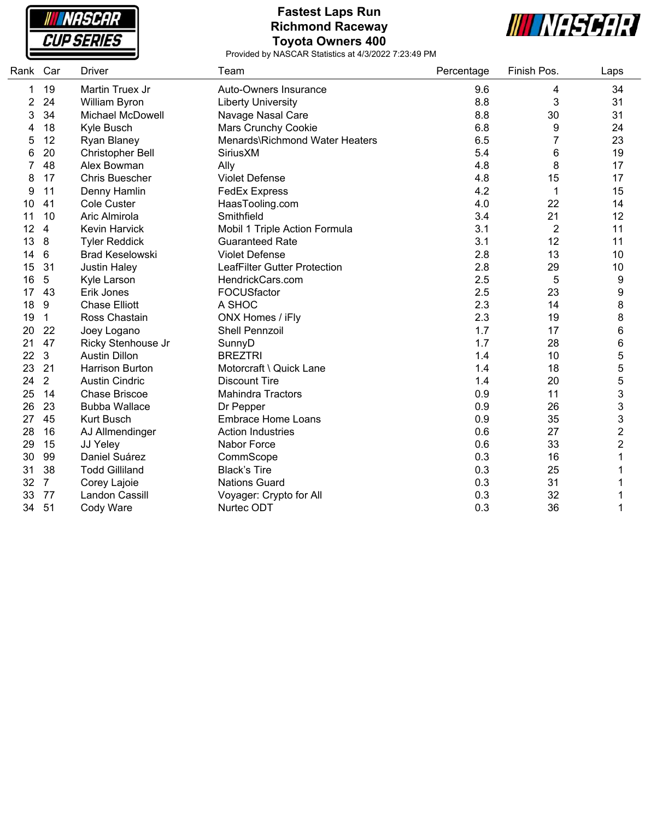

## **Fastest Laps Run Richmond Raceway Toyota Owners 400**



| Rank | Car            | <b>Driver</b>           | Team                           | Percentage | Finish Pos. | Laps           |
|------|----------------|-------------------------|--------------------------------|------------|-------------|----------------|
| 1    | 19             | Martin Truex Jr         | Auto-Owners Insurance          | 9.6        | 4           | 34             |
| 2    | 24             | William Byron           | <b>Liberty University</b>      | 8.8        | 3           | 31             |
| 3    | 34             | <b>Michael McDowell</b> | Navage Nasal Care              | 8.8        | 30          | 31             |
| 4    | 18             | Kyle Busch              | <b>Mars Crunchy Cookie</b>     | 6.8        | 9           | 24             |
| 5    | 12             | Ryan Blaney             | Menards\Richmond Water Heaters | 6.5        | 7           | 23             |
| 6    | 20             | Christopher Bell        | SiriusXM                       | 5.4        | 6           | 19             |
|      | 48             | Alex Bowman             | Ally                           | 4.8        | 8           | 17             |
| 8    | 17             | <b>Chris Buescher</b>   | <b>Violet Defense</b>          | 4.8        | 15          | 17             |
| 9    | 11             | Denny Hamlin            | <b>FedEx Express</b>           | 4.2        | 1           | 15             |
| 10   | 41             | Cole Custer             | HaasTooling.com                | 4.0        | 22          | 14             |
| 11   | 10             | Aric Almirola           | Smithfield                     | 3.4        | 21          | 12             |
| 12   | $\overline{4}$ | <b>Kevin Harvick</b>    | Mobil 1 Triple Action Formula  | 3.1        | 2           | 11             |
| 13   | 8              | <b>Tyler Reddick</b>    | <b>Guaranteed Rate</b>         | 3.1        | 12          | 11             |
| 14   | $\,6$          | <b>Brad Keselowski</b>  | <b>Violet Defense</b>          | 2.8        | 13          | 10             |
| 15   | 31             | <b>Justin Haley</b>     | LeafFilter Gutter Protection   | 2.8        | 29          | 10             |
| 16   | 5              | Kyle Larson             | HendrickCars.com               | 2.5        | 5           | 9              |
| 17   | 43             | Erik Jones              | FOCUSfactor                    | 2.5        | 23          | 9              |
| 18   | 9              | <b>Chase Elliott</b>    | A SHOC                         | 2.3        | 14          | 8              |
| 19   | 1              | Ross Chastain           | ONX Homes / iFly               | 2.3        | 19          | 8              |
| 20   | 22             | Joey Logano             | <b>Shell Pennzoil</b>          | 1.7        | 17          | 6              |
| 21   | 47             | Ricky Stenhouse Jr      | SunnyD                         | 1.7        | 28          | 6              |
| 22   | 3              | <b>Austin Dillon</b>    | <b>BREZTRI</b>                 | 1.4        | 10          | 5              |
| 23   | 21             | <b>Harrison Burton</b>  | Motorcraft \ Quick Lane        | 1.4        | 18          | 5              |
| 24   | $\overline{2}$ | <b>Austin Cindric</b>   | <b>Discount Tire</b>           | 1.4        | 20          | 5              |
| 25   | 14             | <b>Chase Briscoe</b>    | <b>Mahindra Tractors</b>       | 0.9        | 11          | 3              |
| 26   | 23             | <b>Bubba Wallace</b>    | Dr Pepper                      | 0.9        | 26          | 3              |
| 27   | 45             | <b>Kurt Busch</b>       | <b>Embrace Home Loans</b>      | 0.9        | 35          | 3              |
| 28   | 16             | AJ Allmendinger         | <b>Action Industries</b>       | 0.6        | 27          | $\overline{2}$ |
| 29   | 15             | JJ Yeley                | Nabor Force                    | 0.6        | 33          | $\overline{c}$ |
| 30   | 99             | Daniel Suárez           | CommScope                      | 0.3        | 16          |                |
| 31   | 38             | <b>Todd Gilliland</b>   | <b>Black's Tire</b>            | 0.3        | 25          |                |
| 32   | $\overline{7}$ | Corey Lajoie            | <b>Nations Guard</b>           | 0.3        | 31          |                |
| 33   | 77             | Landon Cassill          | Voyager: Crypto for All        | 0.3        | 32          |                |
| 34   | 51             | Cody Ware               | Nurtec ODT                     | 0.3        | 36          | 1              |
|      |                |                         |                                |            |             |                |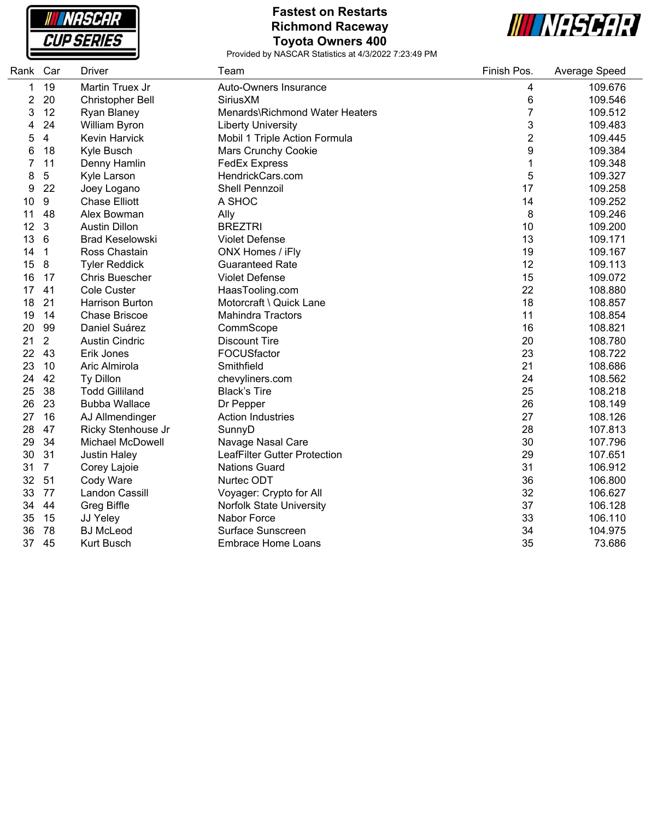

## **Fastest on Restarts Richmond Raceway Toyota Owners 400**



| Rank | Car            | <b>Driver</b>           | Team                                | Finish Pos.    | Average Speed |
|------|----------------|-------------------------|-------------------------------------|----------------|---------------|
| 1    | 19             | Martin Truex Jr         | Auto-Owners Insurance               | 4              | 109.676       |
| 2    | 20             | <b>Christopher Bell</b> | <b>Sirius XM</b>                    | 6              | 109.546       |
| 3    | 12             | <b>Ryan Blaney</b>      | Menards\Richmond Water Heaters      | 7              | 109.512       |
| 4    | 24             | William Byron           | <b>Liberty University</b>           | 3              | 109.483       |
| 5    | 4              | Kevin Harvick           | Mobil 1 Triple Action Formula       | $\overline{2}$ | 109.445       |
| 6    | 18             | Kyle Busch              | <b>Mars Crunchy Cookie</b>          | 9              | 109.384       |
| 7    | 11             | Denny Hamlin            | <b>FedEx Express</b>                | $\mathbf{1}$   | 109.348       |
| 8    | 5              | Kyle Larson             | HendrickCars.com                    | 5              | 109.327       |
| 9    | 22             | Joey Logano             | Shell Pennzoil                      | 17             | 109.258       |
| 10   | 9              | <b>Chase Elliott</b>    | A SHOC                              | 14             | 109.252       |
| 11   | 48             | Alex Bowman             | Ally                                | 8              | 109.246       |
| 12   | 3              | <b>Austin Dillon</b>    | <b>BREZTRI</b>                      | 10             | 109.200       |
| 13   | 6              | <b>Brad Keselowski</b>  | <b>Violet Defense</b>               | 13             | 109.171       |
| 14   | $\mathbf 1$    | Ross Chastain           | ONX Homes / iFly                    | 19             | 109.167       |
| 15   | 8              | <b>Tyler Reddick</b>    | <b>Guaranteed Rate</b>              | 12             | 109.113       |
| 16   | 17             | <b>Chris Buescher</b>   | <b>Violet Defense</b>               | 15             | 109.072       |
| 17   | 41             | Cole Custer             | HaasTooling.com                     | 22             | 108.880       |
| 18   | 21             | <b>Harrison Burton</b>  | Motorcraft \ Quick Lane             | 18             | 108.857       |
| 19   | 14             | <b>Chase Briscoe</b>    | <b>Mahindra Tractors</b>            | 11             | 108.854       |
| 20   | 99             | Daniel Suárez           | CommScope                           | 16             | 108.821       |
| 21   | $\overline{2}$ | <b>Austin Cindric</b>   | <b>Discount Tire</b>                | 20             | 108.780       |
| 22   | 43             | Erik Jones              | FOCUSfactor                         | 23             | 108.722       |
| 23   | 10             | Aric Almirola           | Smithfield                          | 21             | 108.686       |
| 24   | 42             | <b>Ty Dillon</b>        | chevyliners.com                     | 24             | 108.562       |
| 25   | 38             | <b>Todd Gilliland</b>   | <b>Black's Tire</b>                 | 25             | 108.218       |
| 26   | 23             | <b>Bubba Wallace</b>    | Dr Pepper                           | 26             | 108.149       |
| 27   | 16             | AJ Allmendinger         | <b>Action Industries</b>            | 27             | 108.126       |
| 28   | 47             | Ricky Stenhouse Jr      | SunnyD                              | 28             | 107.813       |
| 29   | 34             | <b>Michael McDowell</b> | Navage Nasal Care                   | 30             | 107.796       |
| 30   | 31             | <b>Justin Haley</b>     | <b>LeafFilter Gutter Protection</b> | 29             | 107.651       |
| 31   | $\overline{7}$ | Corey Lajoie            | <b>Nations Guard</b>                | 31             | 106.912       |
| 32   | 51             | Cody Ware               | Nurtec ODT                          | 36             | 106.800       |
| 33   | 77             | Landon Cassill          | Voyager: Crypto for All             | 32             | 106.627       |
| 34   | 44             | <b>Greg Biffle</b>      | <b>Norfolk State University</b>     | 37             | 106.128       |
| 35   | 15             | JJ Yeley                | Nabor Force                         | 33             | 106.110       |
| 36   | 78             | <b>BJ McLeod</b>        | Surface Sunscreen                   | 34             | 104.975       |
| 37   | 45             | <b>Kurt Busch</b>       | <b>Embrace Home Loans</b>           | 35             | 73.686        |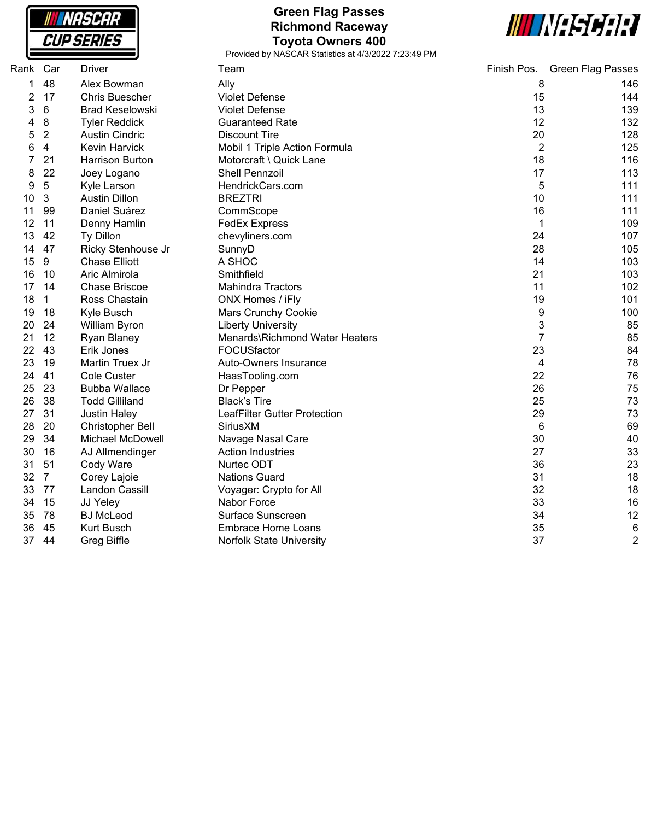

## **Green Flag Passes Richmond Raceway Toyota Owners 400**



| Rank | Car            | <b>Driver</b>           | Team                                | Finish Pos.    | <b>Green Flag Passes</b> |
|------|----------------|-------------------------|-------------------------------------|----------------|--------------------------|
| 1    | 48             | Alex Bowman             | Ally                                | 8              | 146                      |
| 2    | 17             | <b>Chris Buescher</b>   | <b>Violet Defense</b>               | 15             | 144                      |
| 3    | 6              | <b>Brad Keselowski</b>  | <b>Violet Defense</b>               | 13             | 139                      |
| 4    | 8              | <b>Tyler Reddick</b>    | <b>Guaranteed Rate</b>              | 12             | 132                      |
| 5    | $\overline{2}$ | <b>Austin Cindric</b>   | Discount Tire                       | 20             | 128                      |
| 6    | 4              | <b>Kevin Harvick</b>    | Mobil 1 Triple Action Formula       | $\overline{2}$ | 125                      |
| 7    | 21             | <b>Harrison Burton</b>  | Motorcraft \ Quick Lane             | 18             | 116                      |
| 8    | 22             | Joey Logano             | <b>Shell Pennzoil</b>               | 17             | 113                      |
| 9    | 5              | Kyle Larson             | HendrickCars.com                    | 5              | 111                      |
| 10   | 3              | <b>Austin Dillon</b>    | <b>BREZTRI</b>                      | 10             | 111                      |
| 11   | -99            | Daniel Suárez           | CommScope                           | 16             | 111                      |
| 12   | 11             | Denny Hamlin            | <b>FedEx Express</b>                | 1              | 109                      |
| 13   | 42             | Ty Dillon               | chevyliners.com                     | 24             | 107                      |
| 14   | 47             | Ricky Stenhouse Jr      | SunnyD                              | 28             | 105                      |
| 15   | 9              | <b>Chase Elliott</b>    | A SHOC                              | 14             | 103                      |
| 16   | 10             | Aric Almirola           | Smithfield                          | 21             | 103                      |
| 17   | 14             | <b>Chase Briscoe</b>    | <b>Mahindra Tractors</b>            | 11             | 102                      |
| 18   | $\mathbf 1$    | Ross Chastain           | ONX Homes / iFly                    | 19             | 101                      |
| 19   | 18             | Kyle Busch              | Mars Crunchy Cookie                 | 9              | 100                      |
| 20   | 24             | William Byron           | <b>Liberty University</b>           | 3              | 85                       |
| 21   | 12             | Ryan Blaney             | Menards\Richmond Water Heaters      | 7              | 85                       |
| 22   | 43             | Erik Jones              | FOCUSfactor                         | 23             | 84                       |
| 23   | 19             | Martin Truex Jr         | Auto-Owners Insurance               | 4              | 78                       |
| 24   | 41             | <b>Cole Custer</b>      | HaasTooling.com                     | 22             | 76                       |
| 25   | 23             | <b>Bubba Wallace</b>    | Dr Pepper                           | 26             | 75                       |
| 26   | 38             | <b>Todd Gilliland</b>   | <b>Black's Tire</b>                 | 25             | 73                       |
| 27   | 31             | <b>Justin Haley</b>     | <b>LeafFilter Gutter Protection</b> | 29             | 73                       |
| 28   | 20             | <b>Christopher Bell</b> | SiriusXM                            | 6              | 69                       |
| 29   | 34             | Michael McDowell        | Navage Nasal Care                   | 30             | 40                       |
| 30   | 16             | AJ Allmendinger         | <b>Action Industries</b>            | 27             | 33                       |
| 31   | 51             | Cody Ware               | Nurtec ODT                          | 36             | 23                       |
| 32   | $\overline{7}$ | Corey Lajoie            | <b>Nations Guard</b>                | 31             | 18                       |
| 33   | 77             | Landon Cassill          | Voyager: Crypto for All             | 32             | 18                       |
| 34   | 15             | JJ Yeley                | Nabor Force                         | 33             | 16                       |
| 35   | 78             | <b>BJ</b> McLeod        | Surface Sunscreen                   | 34             | 12                       |
| 36   | 45             | <b>Kurt Busch</b>       | <b>Embrace Home Loans</b>           | 35             | 6                        |
| 37   | 44             | Greg Biffle             | <b>Norfolk State University</b>     | 37             | $\overline{c}$           |
|      |                |                         |                                     |                |                          |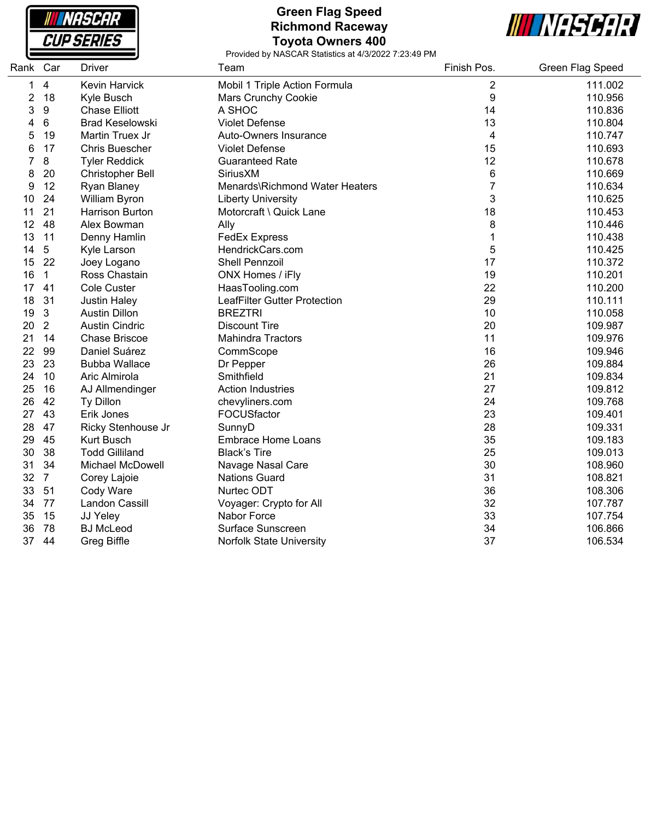

## **Green Flag Speed Richmond Raceway Toyota Owners 400**



| Rank Car |                | <b>Driver</b>           | Team                                | Finish Pos.    | Green Flag Speed |
|----------|----------------|-------------------------|-------------------------------------|----------------|------------------|
| 1        | 4              | Kevin Harvick           | Mobil 1 Triple Action Formula       | 2              | 111.002          |
| 2        | 18             | Kyle Busch              | <b>Mars Crunchy Cookie</b>          | 9              | 110.956          |
| 3        | 9              | <b>Chase Elliott</b>    | A SHOC                              | 14             | 110.836          |
| 4        | 6              | <b>Brad Keselowski</b>  | <b>Violet Defense</b>               | 13             | 110.804          |
| 5        | 19             | Martin Truex Jr         | Auto-Owners Insurance               | 4              | 110.747          |
| 6        | 17             | <b>Chris Buescher</b>   | <b>Violet Defense</b>               | 15             | 110.693          |
| 7        | 8              | <b>Tyler Reddick</b>    | <b>Guaranteed Rate</b>              | 12             | 110.678          |
| 8        | 20             | <b>Christopher Bell</b> | SiriusXM                            | 6              | 110.669          |
| 9        | 12             | Ryan Blaney             | Menards\Richmond Water Heaters      | $\overline{7}$ | 110.634          |
| 10       | 24             | William Byron           | <b>Liberty University</b>           | 3              | 110.625          |
| 11       | 21             | <b>Harrison Burton</b>  | Motorcraft \ Quick Lane             | 18             | 110.453          |
| 12       | 48             | Alex Bowman             | Ally                                | 8              | 110.446          |
| 13       | 11             | Denny Hamlin            | <b>FedEx Express</b>                | 1              | 110.438          |
| 14       | $\mathbf 5$    | Kyle Larson             | HendrickCars.com                    | 5              | 110.425          |
| 15       | 22             | Joey Logano             | <b>Shell Pennzoil</b>               | 17             | 110.372          |
| 16       | $\mathbf{1}$   | Ross Chastain           | ONX Homes / iFly                    | 19             | 110.201          |
| 17       | 41             | <b>Cole Custer</b>      | HaasTooling.com                     | 22             | 110.200          |
| 18       | 31             | <b>Justin Haley</b>     | <b>LeafFilter Gutter Protection</b> | 29             | 110.111          |
| 19       | $\mathbf{3}$   | <b>Austin Dillon</b>    | <b>BREZTRI</b>                      | 10             | 110.058          |
| 20       | $\overline{2}$ | <b>Austin Cindric</b>   | <b>Discount Tire</b>                | 20             | 109.987          |
| 21       | 14             | <b>Chase Briscoe</b>    | <b>Mahindra Tractors</b>            | 11             | 109.976          |
| 22       | 99             | Daniel Suárez           | CommScope                           | 16             | 109.946          |
| 23       | 23             | <b>Bubba Wallace</b>    | Dr Pepper                           | 26             | 109.884          |
| 24       | 10             | Aric Almirola           | Smithfield                          | 21             | 109.834          |
| 25       | 16             | AJ Allmendinger         | <b>Action Industries</b>            | 27             | 109.812          |
| 26       | 42             | Ty Dillon               | chevyliners.com                     | 24             | 109.768          |
| 27       | 43             | Erik Jones              | FOCUSfactor                         | 23             | 109.401          |
| 28       | 47             | Ricky Stenhouse Jr      | SunnyD                              | 28             | 109.331          |
| 29       | 45             | <b>Kurt Busch</b>       | <b>Embrace Home Loans</b>           | 35             | 109.183          |
| 30       | 38             | <b>Todd Gilliland</b>   | <b>Black's Tire</b>                 | 25             | 109.013          |
| 31       | 34             | <b>Michael McDowell</b> | Navage Nasal Care                   | 30             | 108.960          |
| 32       | $\overline{7}$ | Corey Lajoie            | <b>Nations Guard</b>                | 31             | 108.821          |
| 33       | 51             | Cody Ware               | Nurtec ODT                          | 36             | 108.306          |
| 34       | 77             | Landon Cassill          | Voyager: Crypto for All             | 32             | 107.787          |
| 35       | 15             | JJ Yeley                | Nabor Force                         | 33             | 107.754          |
| 36       | 78             | <b>BJ McLeod</b>        | Surface Sunscreen                   | 34             | 106.866          |
| 37       | 44             | Greg Biffle             | <b>Norfolk State University</b>     | 37             | 106.534          |
|          |                |                         |                                     |                |                  |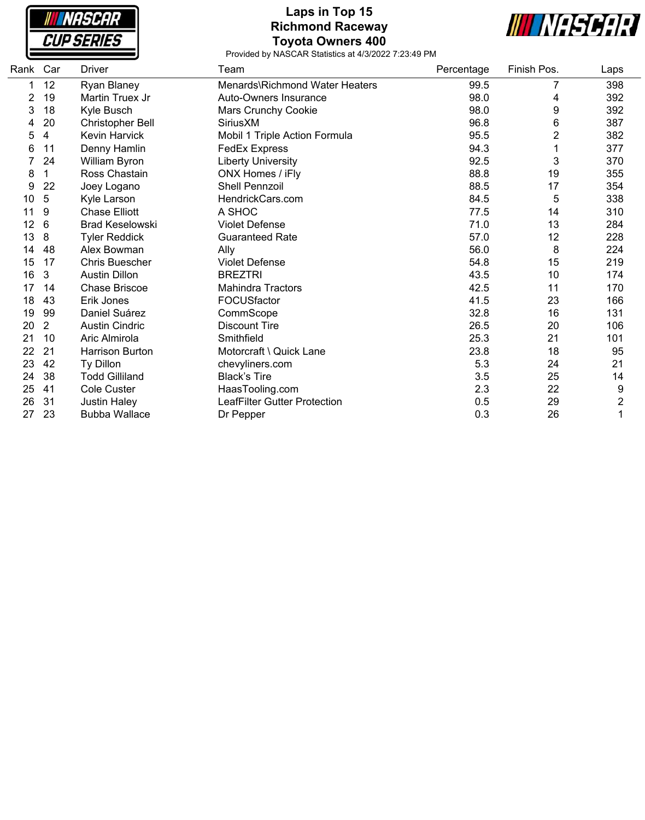**INASCAR CUP SERIES** 

## **Laps in Top 15 Richmond Raceway Toyota Owners 400**



| Rank | Car            | <b>Driver</b>          | Team                           | Percentage | Finish Pos. | Laps                    |
|------|----------------|------------------------|--------------------------------|------------|-------------|-------------------------|
|      | 12             | Ryan Blaney            | Menards\Richmond Water Heaters | 99.5       | 7           | 398                     |
| 2    | 19             | Martin Truex Jr        | Auto-Owners Insurance          | 98.0       | 4           | 392                     |
| 3    | 18             | Kyle Busch             | Mars Crunchy Cookie            | 98.0       | 9           | 392                     |
|      | 20             | Christopher Bell       | SiriusXM                       | 96.8       | 6           | 387                     |
| 5    | 4              | <b>Kevin Harvick</b>   | Mobil 1 Triple Action Formula  | 95.5       | 2           | 382                     |
| 6    | 11             | Denny Hamlin           | <b>FedEx Express</b>           | 94.3       |             | 377                     |
|      | 24             | William Byron          | <b>Liberty University</b>      | 92.5       | 3           | 370                     |
| 8    | 1              | Ross Chastain          | ONX Homes / iFly               | 88.8       | 19          | 355                     |
| 9    | 22             | Joey Logano            | <b>Shell Pennzoil</b>          | 88.5       | 17          | 354                     |
| 10   | 5              | Kyle Larson            | HendrickCars.com               | 84.5       | 5           | 338                     |
| 11   | 9              | <b>Chase Elliott</b>   | A SHOC                         | 77.5       | 14          | 310                     |
| 12   | 6              | <b>Brad Keselowski</b> | <b>Violet Defense</b>          | 71.0       | 13          | 284                     |
| 13   | 8              | <b>Tyler Reddick</b>   | <b>Guaranteed Rate</b>         | 57.0       | 12          | 228                     |
| 14   | 48             | Alex Bowman            | Ally                           | 56.0       | 8           | 224                     |
| 15   | 17             | <b>Chris Buescher</b>  | <b>Violet Defense</b>          | 54.8       | 15          | 219                     |
| 16   | 3              | <b>Austin Dillon</b>   | <b>BREZTRI</b>                 | 43.5       | 10          | 174                     |
| 17   | 14             | <b>Chase Briscoe</b>   | <b>Mahindra Tractors</b>       | 42.5       | 11          | 170                     |
| 18   | 43             | Erik Jones             | FOCUSfactor                    | 41.5       | 23          | 166                     |
| 19   | 99             | Daniel Suárez          | CommScope                      | 32.8       | 16          | 131                     |
| 20   | $\overline{2}$ | <b>Austin Cindric</b>  | Discount Tire                  | 26.5       | 20          | 106                     |
| 21   | 10             | Aric Almirola          | Smithfield                     | 25.3       | 21          | 101                     |
| 22   | 21             | <b>Harrison Burton</b> | Motorcraft \ Quick Lane        | 23.8       | 18          | 95                      |
| 23   | 42             | Ty Dillon              | chevyliners.com                | 5.3        | 24          | 21                      |
| 24   | 38             | <b>Todd Gilliland</b>  | <b>Black's Tire</b>            | 3.5        | 25          | 14                      |
| 25   | 41             | <b>Cole Custer</b>     | HaasTooling.com                | 2.3        | 22          | 9                       |
| 26   | 31             | Justin Haley           | LeafFilter Gutter Protection   | 0.5        | 29          | $\overline{\mathbf{c}}$ |
| 27   | 23             | <b>Bubba Wallace</b>   | Dr Pepper                      | 0.3        | 26          | 1                       |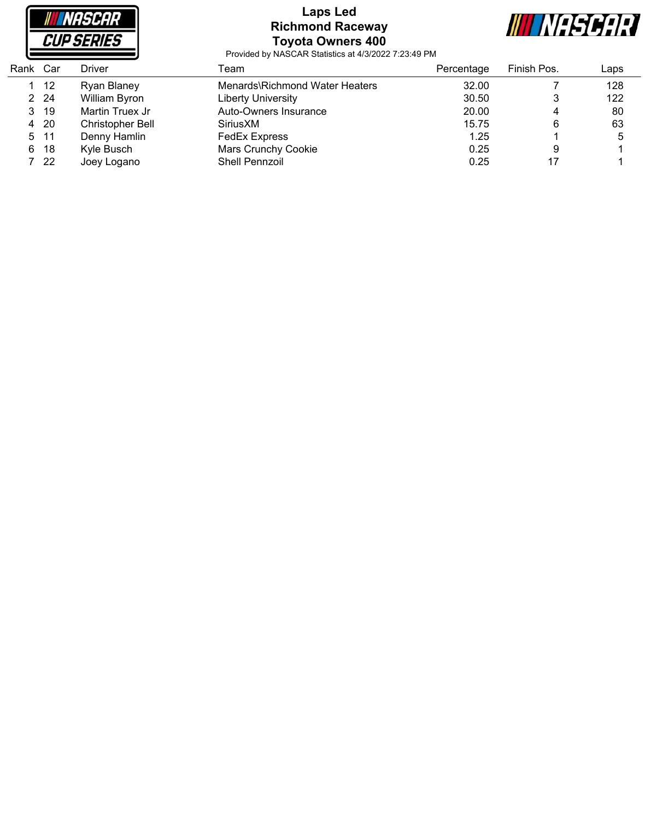

## **Laps Led Richmond Raceway Toyota Owners 400**



| Rank | Car  | Driver                  | Team                           | Percentage | Finish Pos. | Laps |
|------|------|-------------------------|--------------------------------|------------|-------------|------|
|      | 12   | Ryan Blaney             | Menards\Richmond Water Heaters | 32.00      |             | 128  |
|      | 2 24 | William Byron           | <b>Liberty University</b>      | 30.50      |             | 122  |
| 3    | 19   | Martin Truex Jr         | Auto-Owners Insurance          | 20.00      | 4           | 80   |
| 4    | - 20 | <b>Christopher Bell</b> | <b>Sirius XM</b>               | 15.75      |             | 63   |
|      | 5 11 | Denny Hamlin            | <b>FedEx Express</b>           | 1.25       |             | 5    |
| 6    | -18  | Kyle Busch              | Mars Crunchy Cookie            | 0.25       | 9           |      |
|      | -22  | Joey Logano             | <b>Shell Pennzoil</b>          | 0.25       | 17          |      |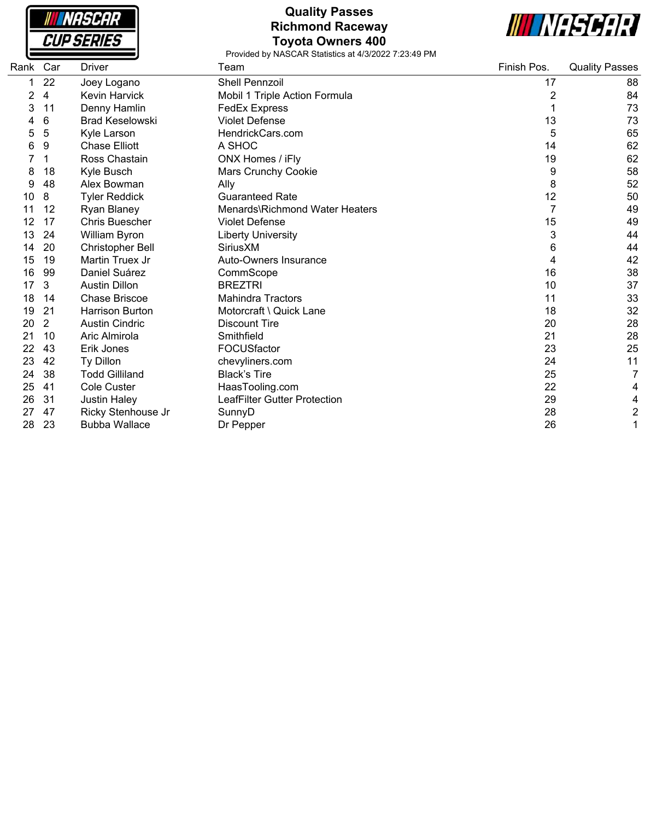

## **Quality Passes Richmond Raceway Toyota Owners 400**



| Rank | Car | Driver                  | Team                                | Finish Pos. | <b>Quality Passes</b> |
|------|-----|-------------------------|-------------------------------------|-------------|-----------------------|
|      | 22  | Joey Logano             | <b>Shell Pennzoil</b>               | 17          | 88                    |
| 2    | 4   | <b>Kevin Harvick</b>    | Mobil 1 Triple Action Formula       | 2           | 84                    |
| 3    | 11  | Denny Hamlin            | <b>FedEx Express</b>                |             | 73                    |
|      | 6   | <b>Brad Keselowski</b>  | <b>Violet Defense</b>               | 13          | 73                    |
| 5    | 5   | Kyle Larson             | HendrickCars.com                    | 5           | 65                    |
| 6    | 9   | <b>Chase Elliott</b>    | A SHOC                              | 14          | 62                    |
|      | 1   | Ross Chastain           | ONX Homes / iFly                    | 19          | 62                    |
| 8    | 18  | Kyle Busch              | <b>Mars Crunchy Cookie</b>          | 9           | 58                    |
| 9    | 48  | Alex Bowman             | Ally                                | 8           | 52                    |
| 10   | 8   | <b>Tyler Reddick</b>    | <b>Guaranteed Rate</b>              | 12          | 50                    |
|      | 12  | <b>Ryan Blaney</b>      | Menards\Richmond Water Heaters      | 7           | 49                    |
| 12   | 17  | <b>Chris Buescher</b>   | <b>Violet Defense</b>               | 15          | 49                    |
| 13   | 24  | William Byron           | <b>Liberty University</b>           | 3           | 44                    |
| 14   | 20  | <b>Christopher Bell</b> | <b>SiriusXM</b>                     | 6           | 44                    |
| 15   | 19  | Martin Truex Jr         | Auto-Owners Insurance               | 4           | 42                    |
| 16   | 99  | Daniel Suárez           | CommScope                           | 16          | 38                    |
| 17   | 3   | <b>Austin Dillon</b>    | <b>BREZTRI</b>                      | 10          | 37                    |
| 18   | 14  | <b>Chase Briscoe</b>    | <b>Mahindra Tractors</b>            | 11          | 33                    |
| 19   | 21  | <b>Harrison Burton</b>  | Motorcraft \ Quick Lane             | 18          | 32                    |
| 20   | 2   | <b>Austin Cindric</b>   | <b>Discount Tire</b>                | 20          | 28                    |
| 21   | 10  | Aric Almirola           | Smithfield                          | 21          | 28                    |
| 22   | 43  | Erik Jones              | FOCUSfactor                         | 23          | 25                    |
| 23   | 42  | <b>Ty Dillon</b>        | chevyliners.com                     | 24          | 11                    |
| 24   | 38  | <b>Todd Gilliland</b>   | <b>Black's Tire</b>                 | 25          | 7                     |
| 25   | 41  | Cole Custer             | HaasTooling.com                     | 22          | 4                     |
| 26   | 31  | <b>Justin Haley</b>     | <b>LeafFilter Gutter Protection</b> | 29          | 4                     |
| 27   | 47  | Ricky Stenhouse Jr      | SunnyD                              | 28          | $\overline{c}$        |
| 28   | 23  | <b>Bubba Wallace</b>    | Dr Pepper                           | 26          | 1                     |